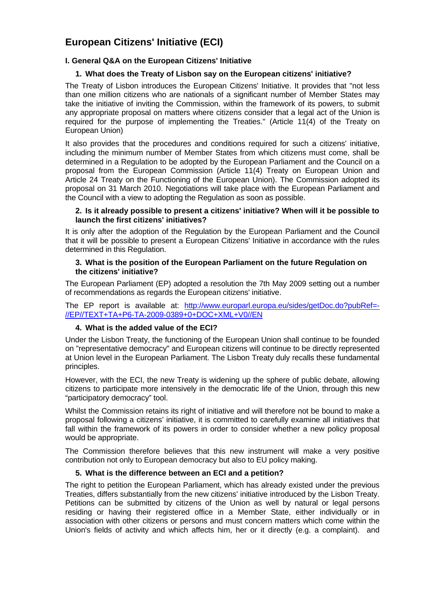# **European Citizens' Initiative (ECI)**

# **I. General Q&A on the European Citizens' Initiative**

# **1. What does the Treaty of Lisbon say on the European citizens' initiative?**

The Treaty of Lisbon introduces the European Citizens' Initiative. It provides that "not less than one million citizens who are nationals of a significant number of Member States may take the initiative of inviting the Commission, within the framework of its powers, to submit any appropriate proposal on matters where citizens consider that a legal act of the Union is required for the purpose of implementing the Treaties." (Article 11(4) of the Treaty on European Union)

It also provides that the procedures and conditions required for such a citizens' initiative, including the minimum number of Member States from which citizens must come, shall be determined in a Regulation to be adopted by the European Parliament and the Council on a proposal from the European Commission (Article 11(4) Treaty on European Union and Article 24 Treaty on the Functioning of the European Union). The Commission adopted its proposal on 31 March 2010. Negotiations will take place with the European Parliament and the Council with a view to adopting the Regulation as soon as possible.

## **2. Is it already possible to present a citizens' initiative? When will it be possible to launch the first citizens' initiatives?**

It is only after the adoption of the Regulation by the European Parliament and the Council that it will be possible to present a European Citizens' Initiative in accordance with the rules determined in this Regulation.

## **3. What is the position of the European Parliament on the future Regulation on the citizens' initiative?**

The European Parliament (EP) adopted a resolution the 7th May 2009 setting out a number of recommendations as regards the European citizens' initiative.

The EP report is available at: http://www.europarl.europa.eu/sides/getDoc.do?pubRef=- //EP//TEXT+TA+P6-TA-2009-0389+0+DOC+XML+V0//EN

# **4. What is the added value of the ECI?**

Under the Lisbon Treaty, the functioning of the European Union shall continue to be founded on "representative democracy" and European citizens will continue to be directly represented at Union level in the European Parliament. The Lisbon Treaty duly recalls these fundamental principles.

However, with the ECI, the new Treaty is widening up the sphere of public debate, allowing citizens to participate more intensively in the democratic life of the Union, through this new "participatory democracy" tool.

Whilst the Commission retains its right of initiative and will therefore not be bound to make a proposal following a citizens' initiative, it is committed to carefully examine all initiatives that fall within the framework of its powers in order to consider whether a new policy proposal would be appropriate.

The Commission therefore believes that this new instrument will make a very positive contribution not only to European democracy but also to EU policy making.

# **5. What is the difference between an ECI and a petition?**

The right to petition the European Parliament, which has already existed under the previous Treaties, differs substantially from the new citizens' initiative introduced by the Lisbon Treaty. Petitions can be submitted by citizens of the Union as well by natural or legal persons residing or having their registered office in a Member State, either individually or in association with other citizens or persons and must concern matters which come within the Union's fields of activity and which affects him, her or it directly (e.g. a complaint). and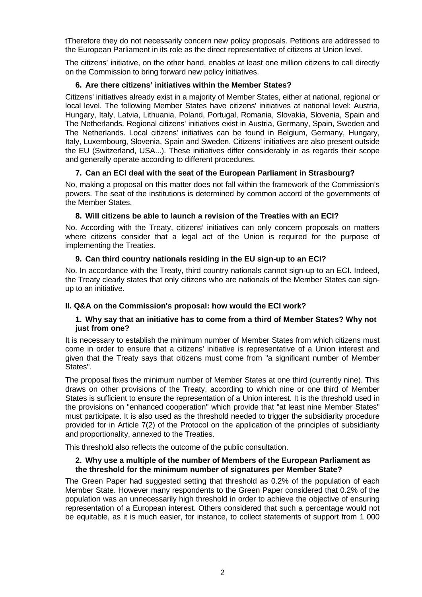tTherefore they do not necessarily concern new policy proposals. Petitions are addressed to the European Parliament in its role as the direct representative of citizens at Union level.

The citizens' initiative, on the other hand, enables at least one million citizens to call directly on the Commission to bring forward new policy initiatives.

## **6. Are there citizens' initiatives within the Member States?**

Citizens' initiatives already exist in a majority of Member States, either at national, regional or local level. The following Member States have citizens' initiatives at national level: Austria, Hungary, Italy, Latvia, Lithuania, Poland, Portugal, Romania, Slovakia, Slovenia, Spain and The Netherlands. Regional citizens' initiatives exist in Austria, Germany, Spain, Sweden and The Netherlands. Local citizens' initiatives can be found in Belgium, Germany, Hungary, Italy, Luxembourg, Slovenia, Spain and Sweden. Citizens' initiatives are also present outside the EU (Switzerland, USA...). These initiatives differ considerably in as regards their scope and generally operate according to different procedures.

## **7. Can an ECI deal with the seat of the European Parliament in Strasbourg?**

No, making a proposal on this matter does not fall within the framework of the Commission's powers. The seat of the institutions is determined by common accord of the governments of the Member States.

## **8. Will citizens be able to launch a revision of the Treaties with an ECI?**

No. According with the Treaty, citizens' initiatives can only concern proposals on matters where citizens consider that a legal act of the Union is required for the purpose of implementing the Treaties.

## **9. Can third country nationals residing in the EU sign-up to an ECI?**

No. In accordance with the Treaty, third country nationals cannot sign-up to an ECI. Indeed, the Treaty clearly states that only citizens who are nationals of the Member States can signup to an initiative.

# **II. Q&A on the Commission's proposal: how would the ECI work?**

## **1. Why say that an initiative has to come from a third of Member States? Why not just from one?**

It is necessary to establish the minimum number of Member States from which citizens must come in order to ensure that a citizens' initiative is representative of a Union interest and given that the Treaty says that citizens must come from "a significant number of Member States".

The proposal fixes the minimum number of Member States at one third (currently nine). This draws on other provisions of the Treaty, according to which nine or one third of Member States is sufficient to ensure the representation of a Union interest. It is the threshold used in the provisions on "enhanced cooperation" which provide that "at least nine Member States" must participate. It is also used as the threshold needed to trigger the subsidiarity procedure provided for in Article 7(2) of the Protocol on the application of the principles of subsidiarity and proportionality, annexed to the Treaties.

This threshold also reflects the outcome of the public consultation.

## **2. Why use a multiple of the number of Members of the European Parliament as the threshold for the minimum number of signatures per Member State?**

The Green Paper had suggested setting that threshold as 0.2% of the population of each Member State. However many respondents to the Green Paper considered that 0.2% of the population was an unnecessarily high threshold in order to achieve the objective of ensuring representation of a European interest. Others considered that such a percentage would not be equitable, as it is much easier, for instance, to collect statements of support from 1 000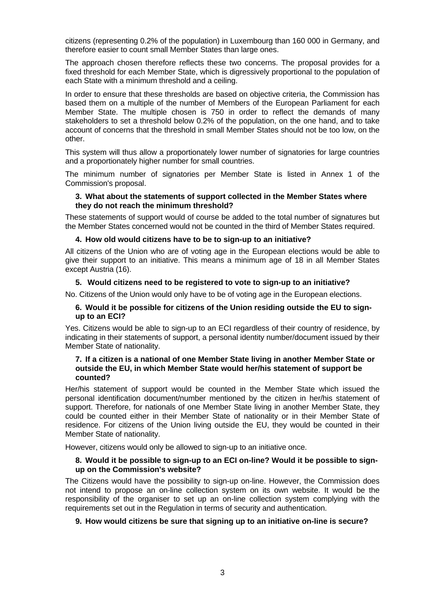citizens (representing 0.2% of the population) in Luxembourg than 160 000 in Germany, and therefore easier to count small Member States than large ones.

The approach chosen therefore reflects these two concerns. The proposal provides for a fixed threshold for each Member State, which is digressively proportional to the population of each State with a minimum threshold and a ceiling.

In order to ensure that these thresholds are based on objective criteria, the Commission has based them on a multiple of the number of Members of the European Parliament for each Member State. The multiple chosen is 750 in order to reflect the demands of many stakeholders to set a threshold below 0.2% of the population, on the one hand, and to take account of concerns that the threshold in small Member States should not be too low, on the other.

This system will thus allow a proportionately lower number of signatories for large countries and a proportionately higher number for small countries.

The minimum number of signatories per Member State is listed in Annex 1 of the Commission's proposal.

#### **3. What about the statements of support collected in the Member States where they do not reach the minimum threshold?**

These statements of support would of course be added to the total number of signatures but the Member States concerned would not be counted in the third of Member States required.

#### **4. How old would citizens have to be to sign-up to an initiative?**

All citizens of the Union who are of voting age in the European elections would be able to give their support to an initiative. This means a minimum age of 18 in all Member States except Austria (16).

#### **5. Would citizens need to be registered to vote to sign-up to an initiative?**

No. Citizens of the Union would only have to be of voting age in the European elections.

#### **6. Would it be possible for citizens of the Union residing outside the EU to signup to an ECI?**

Yes. Citizens would be able to sign-up to an ECI regardless of their country of residence, by indicating in their statements of support, a personal identity number/document issued by their Member State of nationality.

#### **7. If a citizen is a national of one Member State living in another Member State or outside the EU, in which Member State would her/his statement of support be counted?**

Her/his statement of support would be counted in the Member State which issued the personal identification document/number mentioned by the citizen in her/his statement of support. Therefore, for nationals of one Member State living in another Member State, they could be counted either in their Member State of nationality or in their Member State of residence. For citizens of the Union living outside the EU, they would be counted in their Member State of nationality.

However, citizens would only be allowed to sign-up to an initiative once.

#### **8. Would it be possible to sign-up to an ECI on-line? Would it be possible to signup on the Commission's website?**

The Citizens would have the possibility to sign-up on-line. However, the Commission does not intend to propose an on-line collection system on its own website. It would be the responsibility of the organiser to set up an on-line collection system complying with the requirements set out in the Regulation in terms of security and authentication.

#### **9. How would citizens be sure that signing up to an initiative on-line is secure?**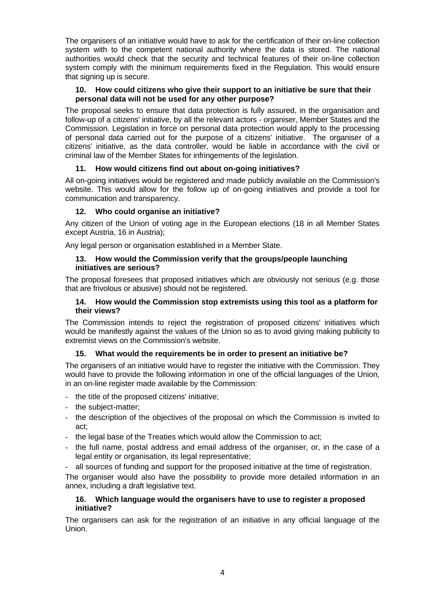The organisers of an initiative would have to ask for the certification of their on-line collection system with to the competent national authority where the data is stored. The national authorities would check that the security and technical features of their on-line collection system comply with the minimum requirements fixed in the Regulation. This would ensure that signing up is secure.

# **10. How could citizens who give their support to an initiative be sure that their personal data will not be used for any other purpose?**

The proposal seeks to ensure that data protection is fully assured, in the organisation and follow-up of a citizens' initiative, by all the relevant actors - organiser, Member States and the Commission. Legislation in force on personal data protection would apply to the processing of personal data carried out for the purpose of a citizens' initiative. The organiser of a citizens' initiative, as the data controller, would be liable in accordance with the civil or criminal law of the Member States for infringements of the legislation.

# **11. How would citizens find out about on-going initiatives?**

All on-going initiatives would be registered and made publicly available on the Commission's website. This would allow for the follow up of on-going initiatives and provide a tool for communication and transparency.

# **12. Who could organise an initiative?**

Any citizen of the Union of voting age in the European elections (18 in all Member States except Austria, 16 in Austria);

Any legal person or organisation established in a Member State.

## **13. How would the Commission verify that the groups/people launching initiatives are serious?**

The proposal foresees that proposed initiatives which are obviously not serious (e.g. those that are frivolous or abusive) should not be registered.

# **14. How would the Commission stop extremists using this tool as a platform for their views?**

The Commission intends to reject the registration of proposed citizens' initiatives which would be manifestly against the values of the Union so as to avoid giving making publicity to extremist views on the Commission's website.

# **15. What would the requirements be in order to present an initiative be?**

The organisers of an initiative would have to register the initiative with the Commission. They would have to provide the following information in one of the official languages of the Union, in an on-line register made available by the Commission:

- the title of the proposed citizens' initiative;
- the subject-matter;
- the description of the objectives of the proposal on which the Commission is invited to act;
- the legal base of the Treaties which would allow the Commission to act;
- the full name, postal address and email address of the organiser, or, in the case of a legal entity or organisation, its legal representative;
- all sources of funding and support for the proposed initiative at the time of registration.

The organiser would also have the possibility to provide more detailed information in an annex, including a draft legislative text.

## **16. Which language would the organisers have to use to register a proposed initiative?**

The organisers can ask for the registration of an initiative in any official language of the Union.